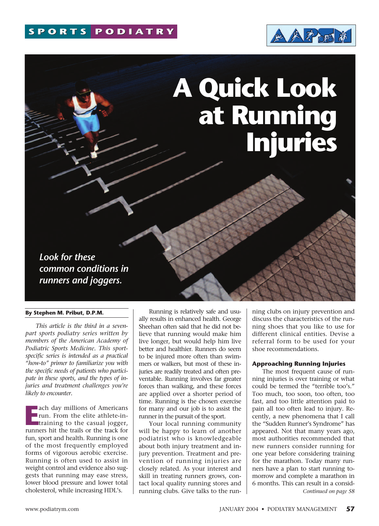

# **A Quick Look at Running Injuries**

*Look for these common conditions in runners and joggers.*

#### **By Stephen M. Pribut, D.P.M.**

*This article is the third in a sevenpart sports podiatry series written by members of the American Academy of Podiatric Sports Medicine. This sportspecific series is intended as a practical "how-to" primer to familiarize you with the specific needs of patients who participate in these sports, and the types of injuries and treatment challenges you're likely to encounter.*

**Exercise 19 Americans**<br>
run. From the elite athlete-in-<br>
training to the casual jogger,<br>
runners hit the trails or the track for ach day millions of Americans run. From the elite athlete-intraining to the casual jogger, fun, sport and health. Running is one of the most frequently employed forms of vigorous aerobic exercise. Running is often used to assist in weight control and evidence also suggests that running may ease stress, lower blood pressure and lower total cholesterol, while increasing HDL's.

Running is relatively safe and usually results in enhanced health. George Sheehan often said that he did not believe that running would make him live longer, but would help him live better and healthier. Runners do seem to be injured more often than swimmers or walkers, but most of these injuries are readily treated and often preventable. Running involves far greater forces than walking, and these forces are applied over a shorter period of time. Running is the chosen exercise for many and our job is to assist the runner in the pursuit of the sport.

Your local running community will be happy to learn of another podiatrist who is knowledgeable about both injury treatment and injury prevention. Treatment and prevention of running injuries are closely related. As your interest and skill in treating runners grows, contact local quality running stores and running clubs. Give talks to the running clubs on injury prevention and discuss the characteristics of the running shoes that you like to use for different clinical entities. Devise a referral form to be used for your shoe recommendations.

#### **Approaching Running Injuries**

The most frequent cause of running injuries is over training or what could be termed the "terrible too's." Too much, too soon, too often, too fast, and too little attention paid to pain all too often lead to injury. Recently, a new phenomena that I call the "Sudden Runner's Syndrome" has appeared. Not that many years ago, most authorities recommended that new runners consider running for one year before considering training for the marathon. Today many runners have a plan to start running tomorrow and complete a marathon in 6 months. This can result in a consid-*Continued on page 58*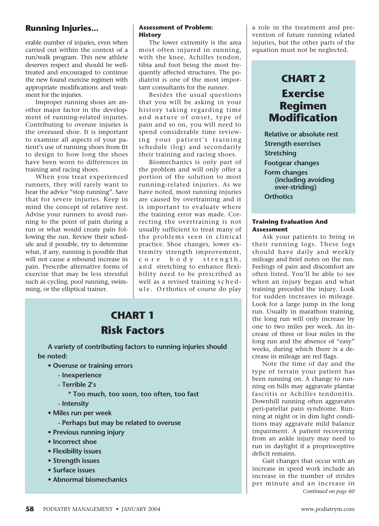erable number of injuries, even when carried out within the context of a run/walk program. This new athlete deserves respect and should be welltreated and encouraged to continue the new found exercise regimen with appropriate modifications and treatment for the injuries.

Improper running shoes are another major factor in the development of running-related injuries. Contributing to overuse injuries is the overused shoe. It is important to examine all aspects of your patient's use of running shoes from fit to design to how long the shoes have been worn to differences in training and racing shoes.

When you treat experienced runners, they will rarely want to hear the advice "stop running". Save that for severe injuries. Keep in mind the concept of relative rest. Advise your runners to avoid running to the point of pain during a run or what would create pain following the run. Review their schedule and if possible, try to determine what, if any, running is possible that will not cause a rebound increase in pain. Prescribe alternative forms of exercise that may be less stressful such as cycling, pool running, swimming, or the elliptical trainer.

#### **Assessment of Problem: History**

The lower extremity is the area most often injured in running, with the knee, Achilles tendon, tibia and foot being the most frequently affected structures. The podiatrist is one of the most important consultants for the runner.

Besides the usual questions that you will be asking in your history taking regarding time and nature of onset, type of pain and so on, you will need to spend considerable time reviewing your patient's training schedule (log) and secondarily their training and racing shoes.

Biomechanics is only part of the problem and will only offer a portion of the solution to most running-related injuries. As we have noted, most running injuries are caused by overtraining and it is important to evaluate where the training error was made. Correcting the overtraining is not usually sufficient to treat many of the problems seen in clinical practice. Shoe changes, lower extremity strength improvement, core body strength, and stretching to enhance flexibility need to be prescribed as well as a revised training schedule. Orthotics of course do play

# **CHART 1 Risk Factors**

**A variety of contributing factors to running injuries should be noted:**

- **Overuse or training errors** 
	- **Inexperience**
	- **Terrible 2's** 
		- **\* Too much, too soon, too often, too fast**
	- **Intensity**
- **Miles run per week** 
	- **Perhaps but may be related to overuse**
- **Previous running injury**
- **Incorrect shoe**
- **Flexibility issues**
- **Strength issues**
- **Surface issues**
- **Abnormal biomechanics**

a role in the treatment and prevention of future running related injuries, but the other parts of the equation must not be neglected.

# **CHART 2 Exercise Regimen Modification**

**Relative or absolute rest Strength exercises Stretching Footgear changes Form changes (including avoiding over-striding) Orthotics**

#### **Training Evaluation And Assessment**

Ask your patients to bring in their running logs. These logs should have daily and weekly mileage and brief notes on the run. Feelings of pain and discomfort are often listed. You'll be able to see when an injury began and what training preceded the injury. Look for sudden increases in mileage. Look for a large jump in the long run. Usually in marathon training, the long run will only increase by one to two miles per week. An increase of three or four miles in the long run and the absence of "easy" weeks, during which there is a decrease in mileage are red flags.

Note the time of day and the type of terrain your patient has been running on. A change to running on hills may aggravate plantar fasciitis or Achilles tendonitis. Downhill running often aggravates peri-patellar pain syndrome. Running at night or in dim light conditions may aggravate mild balance impairment. A patient recovering from an ankle injury may need to run in daylight if a proprioceptive deficit remains.

Gait changes that occur with an increase in speed work include an increase in the number of strides per minute and an increase in *Continued on page 60*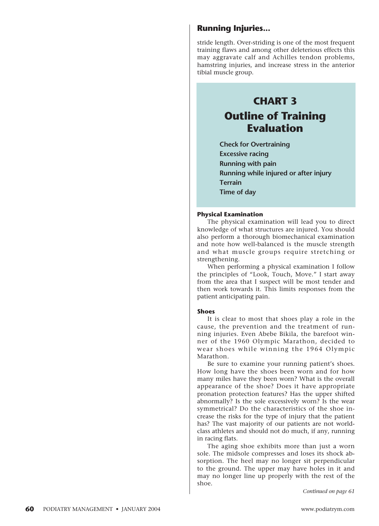stride length. Over-striding is one of the most frequent training flaws and among other deleterious effects this may aggravate calf and Achilles tendon problems, hamstring injuries, and increase stress in the anterior tibial muscle group.

# **CHART 3 Outline of Training Evaluation**

**Check for Overtraining Excessive racing Running with pain Running while injured or after injury Terrain Time of day**

#### **Physical Examination**

The physical examination will lead you to direct knowledge of what structures are injured. You should also perform a thorough biomechanical examination and note how well-balanced is the muscle strength and what muscle groups require stretching or strengthening.

When performing a physical examination I follow the principles of "Look, Touch, Move." I start away from the area that I suspect will be most tender and then work towards it. This limits responses from the patient anticipating pain.

#### **Shoes**

It is clear to most that shoes play a role in the cause, the prevention and the treatment of running injuries. Even Abebe Bikila, the barefoot winner of the 1960 Olympic Marathon, decided to wear shoes while winning the 1964 Olympic Marathon.

Be sure to examine your running patient's shoes. How long have the shoes been worn and for how many miles have they been worn? What is the overall appearance of the shoe? Does it have appropriate pronation protection features? Has the upper shifted abnormally? Is the sole excessively worn? Is the wear symmetrical? Do the characteristics of the shoe increase the risks for the type of injury that the patient has? The vast majority of our patients are not worldclass athletes and should not do much, if any, running in racing flats.

The aging shoe exhibits more than just a worn sole. The midsole compresses and loses its shock absorption. The heel may no longer sit perpendicular to the ground. The upper may have holes in it and may no longer line up properly with the rest of the shoe.

*Continued on page 61*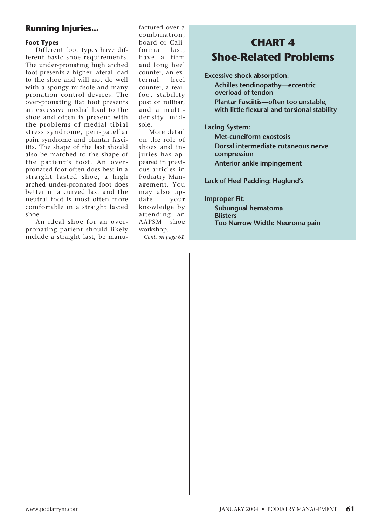#### **Foot Types**

Different foot types have different basic shoe requirements. The under-pronating high arched foot presents a higher lateral load to the shoe and will not do well with a spongy midsole and many pronation control devices. The over-pronating flat foot presents an excessive medial load to the shoe and often is present with the problems of medial tibial stress syndrome, peri-patellar pain syndrome and plantar fasciitis. The shape of the last should also be matched to the shape of the patient's foot. An overpronated foot often does best in a straight lasted shoe, a high arched under-pronated foot does better in a curved last and the neutral foot is most often more comfortable in a straight lasted shoe.

An ideal shoe for an overpronating patient should likely include a straight last, be manufactured over a combination, board or California last, have a firm and long heel counter, an external heel counter, a rearfoot stability post or rollbar, and a multidensity midsole.

More detail on the role of shoes and injuries has appeared in previous articles in Podiatry Management. You may also update your knowledge by attending an AAPSM shoe workshop. *Cont. on page 61*

# **CHART 4 Shoe-Related Problems**

**Excessive shock absorption:** 

**Achilles tendinopathy—eccentric overload of tendon** 

**Plantar Fasciitis—often too unstable, with little flexural and torsional stability**

#### **Lacing System:**

**Met-cuneiform exostosis Dorsal intermediate cutaneous nerve compression Anterior ankle impingement**

**Lack of Heel Padding: Haglund's**

#### **Improper Fit:**

**Subungual hematoma Blisters Too Narrow Width: Neuroma pain**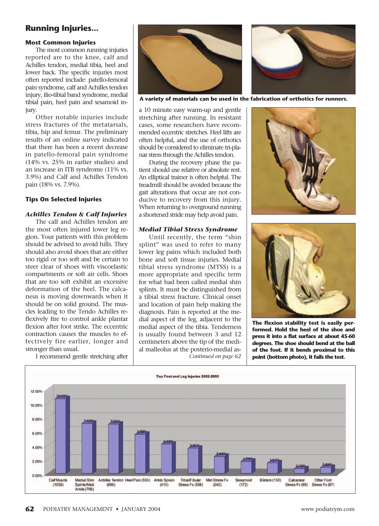#### **Most Common Injuries**

The most common running injuries reported are to the knee, calf and Achilles tendon, medial tibia, heel and lower back. The specific injuries most often reported include: patello-femoral pain syndrome, calf and Achilles tendon injury, ilio-tibial band syndrome, medial tibial pain, heel pain and sesamoid injury.

Other notable injuries include stress fractures of the metatarsals, tibia, hip and femur. The preliminary results of an online survey indicated that there has been a recent decrease in patello-femoral pain syndrome (14% vs. 25% in earlier studies) and an increase in ITB syndrome (11% vs. 3.9%) and Calf and Achilles Tendon pain (18% vs. 7.9%).

#### **Tips On Selected Injuries**

#### *Achilles Tendon & Calf Injuries*

The calf and Achilles tendon are the most often injured lower leg region. Your patients with this problem should be advised to avoid hills. They should also avoid shoes that are either too rigid or too soft and be certain to steer clear of shoes with viscoelastic compartments or soft air cells. Shoes that are too soft exhibit an excessive deformation of the heel. The calcaneus is moving downwards when it should be on solid ground. The muscles leading to the Tendo Achilles reflexively fire to control ankle plantar flexion after foot strike. The eccentric contraction causes the muscles to effectively fire earlier, longer and stronger than usual.

I recommend gentle stretching after



**A variety of materials can be used in the fabrication of orthotics for runners.**

a 10 minute easy warm-up and gentle stretching after running. In resistant cases, some researchers have recommended eccentric stretches. Heel lifts are often helpful, and the use of orthotics should be considered to eliminate tri-planar stress through the Achilles tendon.

During the recovery phase the patient should use relative or absolute rest. An elliptical trainer is often helpful. The treadmill should be avoided because the gait alterations that occur are not conducive to recovery from this injury. When returning to overground running a shortened stride may help avoid pain.

#### *Medial Tibial Stress Syndrome*

Until recently, the term "shin splint" was used to refer to many lower leg pains which included both bone and soft tissue injuries. Medial tibial stress syndrome (MTSS) is a more appropriate and specific term for what had been called medial shin splints. It must be distinguished from a tibial stress fracture. Clinical onset and location of pain help making the diagnosis. Pain is reported at the medial aspect of the leg, adjacent to the medial aspect of the tibia. Tenderness is usually found between 3 and 12 centimeters above the tip of the medial malleolus at the posterio-medial as-*Continued on page 62*





**The flexion stability test is easily performed. Hold the heel of the shoe and press it into a flat surface at about 45-60 degrees. The shoe should bend at the ball of the foot. If it bends proximal to this point (bottom photo), it fails the test.**

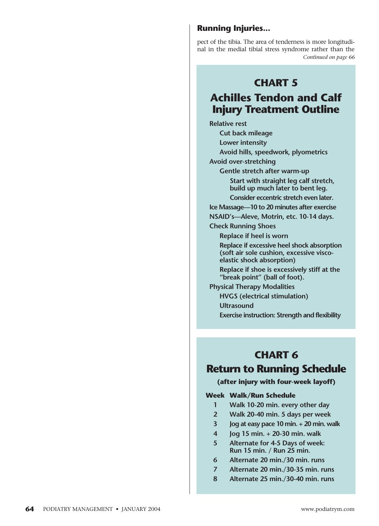pect of the tibia. The area of tenderness is more longitudinal in the medial tibial stress syndrome rather than the *Continued on page 66*

## **CHART 5**

# **Achilles Tendon and Calf Injury Treatment Outline**

**Relative rest**

**Cut back mileage**

**Lower intensity**

**Avoid hills, speedwork, plyometrics**

**Avoid over-stretching**

**Gentle stretch after warm-up Start with straight leg calf stretch, build up much later to bent leg.** 

**Consider eccentric stretch even later.**

**Ice Massage—10 to 20 minutes after exercise**

**NSAID's—Aleve, Motrin, etc. 10-14 days.**

**Check Running Shoes**

**Replace if heel is worn**

**Replace if excessive heel shock absorption (soft air sole cushion, excessive viscoelastic shock absorption)**

**Replace if shoe is excessively stiff at the "break point" (ball of foot).** 

**Physical Therapy Modalities**

**HVGS (electrical stimulation)**

**Ultrasound** 

**Exercise instruction: Strength and flexibility**

## **CHART 6**

## **Return to Running Schedule**

#### **(after injury with four-week layoff)**

#### **Week Walk/Run Schedule**

- **1 Walk 10-20 min. every other day**
- **2 Walk 20-40 min. 5 days per week**
- **3 Jog at easy pace 10 min. + 20 min. walk**
- **4 Jog 15 min. + 20-30 min. walk**
- **5 Alternate for 4-5 Days of week: Run 15 min. / Run 25 min.**
- **6 Alternate 20 min./30 min. runs**
- **7 Alternate 20 min./30-35 min. runs**
- **8 Alternate 25 min./30-40 min. runs**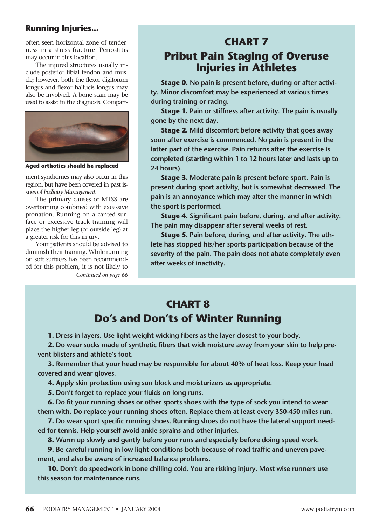often seen horizontal zone of tenderness in a stress fracture. Periostitis may occur in this location.

The injured structures usually include posterior tibial tendon and muscle; however, both the flexor digitorum longus and flexor hallucis longus may also be involved. A bone scan may be used to assist in the diagnosis. Compart-



**Aged orthotics should be replaced**

ment syndromes may also occur in this region, but have been covered in past issues of *Podiatry Management*.

The primary causes of MTSS are overtraining combined with excessive pronation. Running on a canted surface or excessive track training will place the higher leg (or outside leg) at a greater risk for this injury.

Your patients should be advised to diminish their training. While running on soft surfaces has been recommended for this problem, it is not likely to *Continued on page 66*

# **CHART 7 Pribut Pain Staging of Overuse Injuries in Athletes**

**Stage 0. No pain is present before, during or after activity. Minor discomfort may be experienced at various times during training or racing.**

**Stage 1. Pain or stiffness after activity. The pain is usually gone by the next day.**

**Stage 2. Mild discomfort before activity that goes away soon after exercise is commenced. No pain is present in the latter part of the exercise. Pain returns after the exercise is completed (starting within 1 to 12 hours later and lasts up to 24 hours).**

**Stage 3. Moderate pain is present before sport. Pain is present during sport activity, but is somewhat decreased. The pain is an annoyance which may alter the manner in which the sport is performed.**

**Stage 4. Significant pain before, during, and after activity. The pain may disappear after several weeks of rest.**

**Stage 5. Pain before, during, and after activity. The athlete has stopped his/her sports participation because of the severity of the pain. The pain does not abate completely even after weeks of inactivity.**

# **CHART 8 Do's and Don'ts of Winter Running**

**1. Dress in layers. Use light weight wicking fibers as the layer closest to your body.**

**2. Do wear socks made of synthetic fibers that wick moisture away from your skin to help prevent blisters and athlete's foot.**

**3. Remember that your head may be responsible for about 40% of heat loss. Keep your head covered and wear gloves.**

**4. Apply skin protection using sun block and moisturizers as appropriate.**

**5. Don't forget to replace your fluids on long runs.**

**6. Do fit your running shoes or other sports shoes with the type of sock you intend to wear them with. Do replace your running shoes often. Replace them at least every 350-450 miles run.**

**7. Do wear sport specific running shoes. Running shoes do not have the lateral support needed for tennis. Help yourself avoid ankle sprains and other injuries.**

**8. Warm up slowly and gently before your runs and especially before doing speed work.**

**9. Be careful running in low light conditions both because of road traffic and uneven pavement, and also be aware of increased balance problems.**

**10. Don't do speedwork in bone chilling cold. You are risking injury. Most wise runners use this season for maintenance runs.**